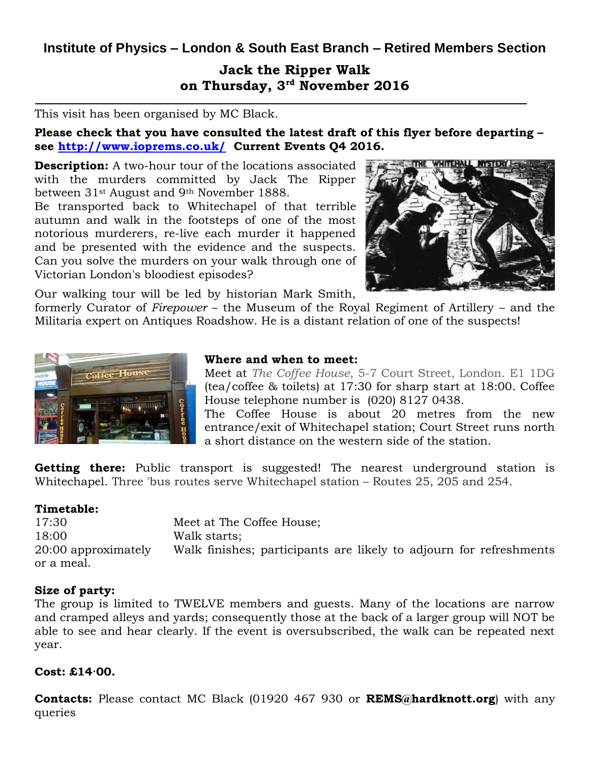## **Institute of Physics – London & South East Branch – Retired Members Section**

# **Jack the Ripper Walk on Thursday, 3rd November 2016**

This visit has been organised by MC Black.

**Please check that you have consulted the latest draft of this flyer before departing – see<http://www.ioprems.co.uk/>Current Events Q4 2016.**

**Description:** A two-hour tour of the locations associated with the murders committed by Jack The Ripper between 31st August and 9th November 1888.

Be transported back to Whitechapel of that terrible autumn and walk in the footsteps of one of the most notorious murderers, re-live each murder it happened and be presented with the evidence and the suspects. Can you solve the murders on your walk through one of Victorian London's bloodiest episodes?



Our walking tour will be led by historian Mark Smith,

formerly Curator of *Firepower* – the Museum of the Royal Regiment of Artillery – and the Militaria expert on Antiques Roadshow. He is a distant relation of one of the suspects!



### **Where and when to meet:**

Meet at *The Coffee House*, 5-7 Court Street, London. E1 1DG (tea/coffee & toilets) at 17:30 for sharp start at 18:00. Coffee House telephone number is (020) 8127 0438.

The Coffee House is about 20 metres from the new entrance/exit of Whitechapel station; Court Street runs north a short distance on the western side of the station.

**Getting there:** Public transport is suggested! The nearest underground station is Whitechapel. Three 'bus routes serve Whitechapel station – Routes 25, 205 and 254.

#### **Timetable:**

17:30 Meet at The Coffee House; 18:00 Walk starts; 20:00 approximately Walk finishes; participants are likely to adjourn for refreshments or a meal.

## **Size of party:**

The group is limited to TWELVE members and guests. Many of the locations are narrow and cramped alleys and yards; consequently those at the back of a larger group will NOT be able to see and hear clearly. If the event is oversubscribed, the walk can be repeated next year.

## **Cost: £14·00.**

**Contacts:** Please contact MC Black (01920 467 930 or **REMS@hardknott.org**) with any queries